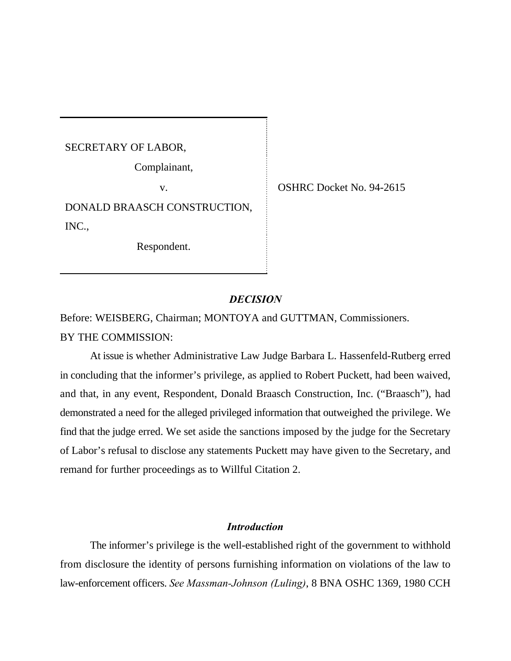SECRETARY OF LABOR,

Complainant,

DONALD BRAASCH CONSTRUCTION, INC.,

Respondent.

v. SHRC Docket No. 94-2615

# *DECISION*

Before: WEISBERG, Chairman; MONTOYA and GUTTMAN, Commissioners. BY THE COMMISSION:

At issue is whether Administrative Law Judge Barbara L. Hassenfeld-Rutberg erred in concluding that the informer's privilege, as applied to Robert Puckett, had been waived, and that, in any event, Respondent, Donald Braasch Construction, Inc. ("Braasch"), had demonstrated a need for the alleged privileged information that outweighed the privilege. We find that the judge erred. We set aside the sanctions imposed by the judge for the Secretary of Labor's refusal to disclose any statements Puckett may have given to the Secretary, and remand for further proceedings as to Willful Citation 2.

## *Introduction*

The informer's privilege is the well-established right of the government to withhold from disclosure the identity of persons furnishing information on violations of the law to law-enforcement officers. *See Massman-Johnson (Luling)*, 8 BNA OSHC 1369, 1980 CCH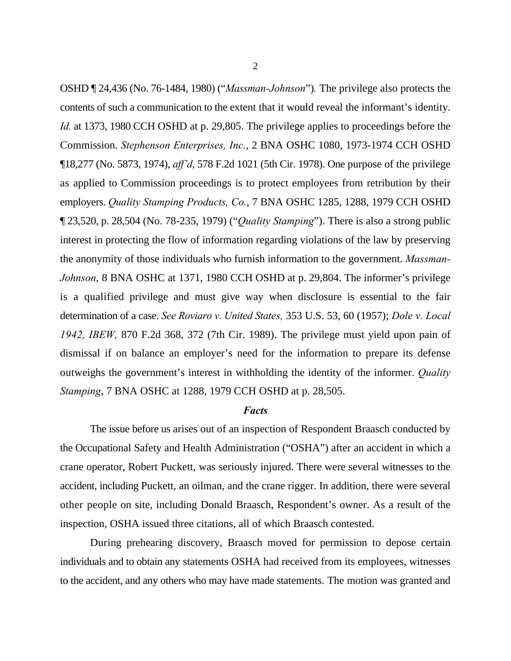OSHD ¶ 24,436 (No. 76-1484, 1980) ("*Massman-Johnson*")*.* The privilege also protects the contents of such a communication to the extent that it would reveal the informant's identity. *Id.* at 1373, 1980 CCH OSHD at p. 29,805. The privilege applies to proceedings before the Commission. *Stephenson Enterprises, Inc.*, 2 BNA OSHC 1080, 1973-1974 CCH OSHD ¶18,277 (No. 5873, 1974), *aff'd*, 578 F.2d 1021 (5th Cir. 1978). One purpose of the privilege as applied to Commission proceedings is to protect employees from retribution by their employers. *Quality Stamping Products, Co.*, 7 BNA OSHC 1285, 1288, 1979 CCH OSHD ¶ 23,520, p. 28,504 (No. 78-235, 1979) ("*Quality Stamping*"). There is also a strong public interest in protecting the flow of information regarding violations of the law by preserving the anonymity of those individuals who furnish information to the government. *Massman-Johnson*, 8 BNA OSHC at 1371, 1980 CCH OSHD at p. 29,804. The informer's privilege is a qualified privilege and must give way when disclosure is essential to the fair determination of a case. *See Roviaro v. United States,* 353 U.S. 53, 60 (1957); *Dole v. Local 1942, IBEW,* 870 F.2d 368, 372 (7th Cir. 1989). The privilege must yield upon pain of dismissal if on balance an employer's need for the information to prepare its defense outweighs the government's interest in withholding the identity of the informer. *Quality Stamping*, 7 BNA OSHC at 1288, 1979 CCH OSHD at p. 28,505.

#### *Facts*

The issue before us arises out of an inspection of Respondent Braasch conducted by the Occupational Safety and Health Administration ("OSHA") after an accident in which a crane operator, Robert Puckett, was seriously injured. There were several witnesses to the accident, including Puckett, an oilman, and the crane rigger. In addition, there were several other people on site, including Donald Braasch, Respondent's owner. As a result of the inspection, OSHA issued three citations, all of which Braasch contested.

During prehearing discovery, Braasch moved for permission to depose certain individuals and to obtain any statements OSHA had received from its employees, witnesses to the accident, and any others who may have made statements. The motion was granted and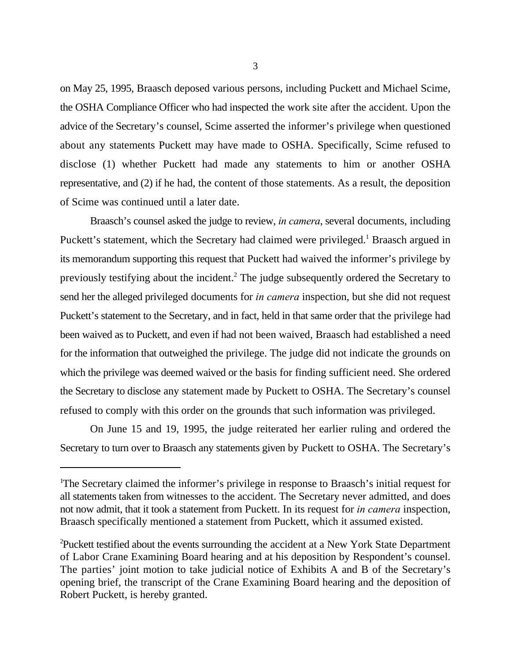on May 25, 1995, Braasch deposed various persons, including Puckett and Michael Scime, the OSHA Compliance Officer who had inspected the work site after the accident. Upon the advice of the Secretary's counsel, Scime asserted the informer's privilege when questioned about any statements Puckett may have made to OSHA. Specifically, Scime refused to disclose (1) whether Puckett had made any statements to him or another OSHA representative, and (2) if he had, the content of those statements. As a result, the deposition of Scime was continued until a later date.

Braasch's counsel asked the judge to review, *in camera*, several documents, including Puckett's statement, which the Secretary had claimed were privileged.<sup>1</sup> Braasch argued in its memorandum supporting this request that Puckett had waived the informer's privilege by previously testifying about the incident.<sup>2</sup> The judge subsequently ordered the Secretary to send her the alleged privileged documents for *in camera* inspection, but she did not request Puckett's statement to the Secretary, and in fact, held in that same order that the privilege had been waived as to Puckett, and even if had not been waived, Braasch had established a need for the information that outweighed the privilege. The judge did not indicate the grounds on which the privilege was deemed waived or the basis for finding sufficient need. She ordered the Secretary to disclose any statement made by Puckett to OSHA. The Secretary's counsel refused to comply with this order on the grounds that such information was privileged.

On June 15 and 19, 1995, the judge reiterated her earlier ruling and ordered the Secretary to turn over to Braasch any statements given by Puckett to OSHA. The Secretary's

<sup>&</sup>lt;sup>1</sup>The Secretary claimed the informer's privilege in response to Braasch's initial request for all statements taken from witnesses to the accident. The Secretary never admitted, and does not now admit, that it took a statement from Puckett. In its request for *in camera* inspection, Braasch specifically mentioned a statement from Puckett, which it assumed existed.

Puckett testified about the events surrounding the accident at a New York State Department <sup>2</sup> of Labor Crane Examining Board hearing and at his deposition by Respondent's counsel. The parties' joint motion to take judicial notice of Exhibits A and B of the Secretary's opening brief, the transcript of the Crane Examining Board hearing and the deposition of Robert Puckett, is hereby granted.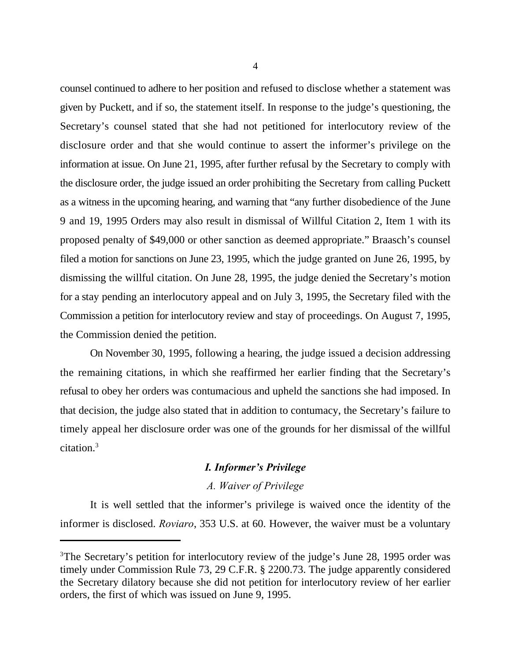counsel continued to adhere to her position and refused to disclose whether a statement was given by Puckett, and if so, the statement itself. In response to the judge's questioning, the Secretary's counsel stated that she had not petitioned for interlocutory review of the disclosure order and that she would continue to assert the informer's privilege on the information at issue. On June 21, 1995, after further refusal by the Secretary to comply with the disclosure order, the judge issued an order prohibiting the Secretary from calling Puckett as a witness in the upcoming hearing, and warning that "any further disobedience of the June 9 and 19, 1995 Orders may also result in dismissal of Willful Citation 2, Item 1 with its proposed penalty of \$49,000 or other sanction as deemed appropriate." Braasch's counsel filed a motion for sanctions on June 23, 1995, which the judge granted on June 26, 1995, by dismissing the willful citation. On June 28, 1995, the judge denied the Secretary's motion for a stay pending an interlocutory appeal and on July 3, 1995, the Secretary filed with the Commission a petition for interlocutory review and stay of proceedings. On August 7, 1995, the Commission denied the petition.

On November 30, 1995, following a hearing, the judge issued a decision addressing the remaining citations, in which she reaffirmed her earlier finding that the Secretary's refusal to obey her orders was contumacious and upheld the sanctions she had imposed. In that decision, the judge also stated that in addition to contumacy, the Secretary's failure to timely appeal her disclosure order was one of the grounds for her dismissal of the willful citation.<sup>3</sup>

## *I. Informer's Privilege*

### *A. Waiver of Privilege*

It is well settled that the informer's privilege is waived once the identity of the informer is disclosed. *Roviaro*, 353 U.S. at 60. However, the waiver must be a voluntary

 $3$ The Secretary's petition for interlocutory review of the judge's June 28, 1995 order was timely under Commission Rule 73, 29 C.F.R. § 2200.73. The judge apparently considered the Secretary dilatory because she did not petition for interlocutory review of her earlier orders, the first of which was issued on June 9, 1995.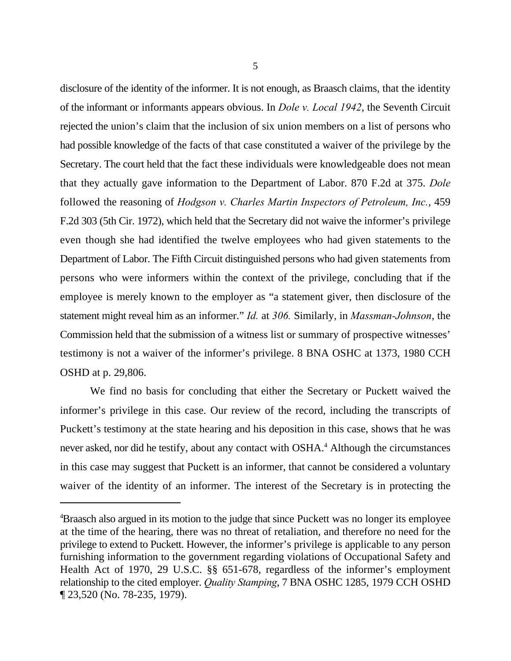disclosure of the identity of the informer. It is not enough, as Braasch claims, that the identity of the informant or informants appears obvious. In *Dole v. Local 1942*, the Seventh Circuit rejected the union's claim that the inclusion of six union members on a list of persons who had possible knowledge of the facts of that case constituted a waiver of the privilege by the Secretary. The court held that the fact these individuals were knowledgeable does not mean that they actually gave information to the Department of Labor. 870 F.2d at 375. *Dole* followed the reasoning of *Hodgson v. Charles Martin Inspectors of Petroleum, Inc.*, 459 F.2d 303 (5th Cir. 1972), which held that the Secretary did not waive the informer's privilege even though she had identified the twelve employees who had given statements to the Department of Labor. The Fifth Circuit distinguished persons who had given statements from persons who were informers within the context of the privilege, concluding that if the employee is merely known to the employer as "a statement giver, then disclosure of the statement might reveal him as an informer." *Id.* at *306.* Similarly, in *Massman-Johnson*, the Commission held that the submission of a witness list or summary of prospective witnesses' testimony is not a waiver of the informer's privilege. 8 BNA OSHC at 1373, 1980 CCH OSHD at p. 29,806.

We find no basis for concluding that either the Secretary or Puckett waived the informer's privilege in this case. Our review of the record, including the transcripts of Puckett's testimony at the state hearing and his deposition in this case, shows that he was never asked, nor did he testify, about any contact with OSHA.<sup>4</sup> Although the circumstances in this case may suggest that Puckett is an informer, that cannot be considered a voluntary waiver of the identity of an informer. The interest of the Secretary is in protecting the

<sup>&</sup>lt;sup>4</sup>Braasch also argued in its motion to the judge that since Puckett was no longer its employee at the time of the hearing, there was no threat of retaliation, and therefore no need for the privilege to extend to Puckett. However, the informer's privilege is applicable to any person furnishing information to the government regarding violations of Occupational Safety and Health Act of 1970, 29 U.S.C. §§ 651-678, regardless of the informer's employment relationship to the cited employer. *Quality Stamping*, 7 BNA OSHC 1285, 1979 CCH OSHD ¶ 23,520 (No. 78-235, 1979).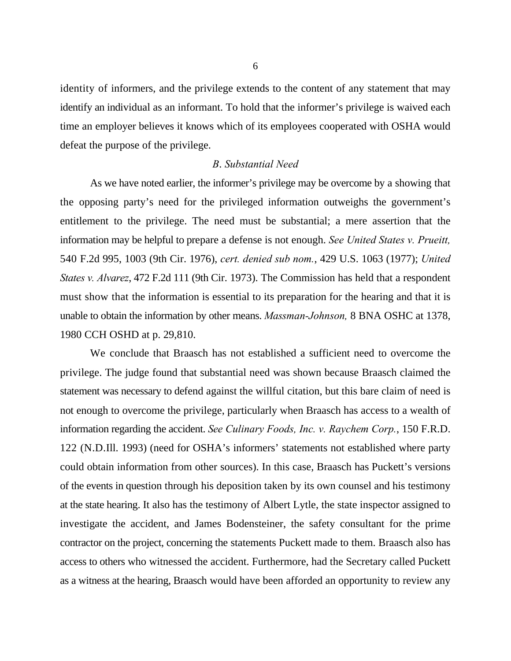identity of informers, and the privilege extends to the content of any statement that may identify an individual as an informant. To hold that the informer's privilege is waived each time an employer believes it knows which of its employees cooperated with OSHA would defeat the purpose of the privilege.

### *B*. *Substantial Need*

As we have noted earlier, the informer's privilege may be overcome by a showing that the opposing party's need for the privileged information outweighs the government's entitlement to the privilege. The need must be substantial; a mere assertion that the information may be helpful to prepare a defense is not enough. *See United States v. Prueitt,* 540 F.2d 995, 1003 (9th Cir. 1976), *cert. denied sub nom.*, 429 U.S. 1063 (1977); *United States v. Alvarez*, 472 F.2d 111 (9th Cir. 1973). The Commission has held that a respondent must show that the information is essential to its preparation for the hearing and that it is unable to obtain the information by other means. *Massman-Johnson,* 8 BNA OSHC at 1378, 1980 CCH OSHD at p. 29,810.

We conclude that Braasch has not established a sufficient need to overcome the privilege. The judge found that substantial need was shown because Braasch claimed the statement was necessary to defend against the willful citation, but this bare claim of need is not enough to overcome the privilege, particularly when Braasch has access to a wealth of information regarding the accident. *See Culinary Foods, Inc. v. Raychem Corp.*, 150 F.R.D. 122 (N.D.Ill. 1993) (need for OSHA's informers' statements not established where party could obtain information from other sources). In this case, Braasch has Puckett's versions of the events in question through his deposition taken by its own counsel and his testimony at the state hearing. It also has the testimony of Albert Lytle, the state inspector assigned to investigate the accident, and James Bodensteiner, the safety consultant for the prime contractor on the project, concerning the statements Puckett made to them. Braasch also has access to others who witnessed the accident. Furthermore, had the Secretary called Puckett as a witness at the hearing, Braasch would have been afforded an opportunity to review any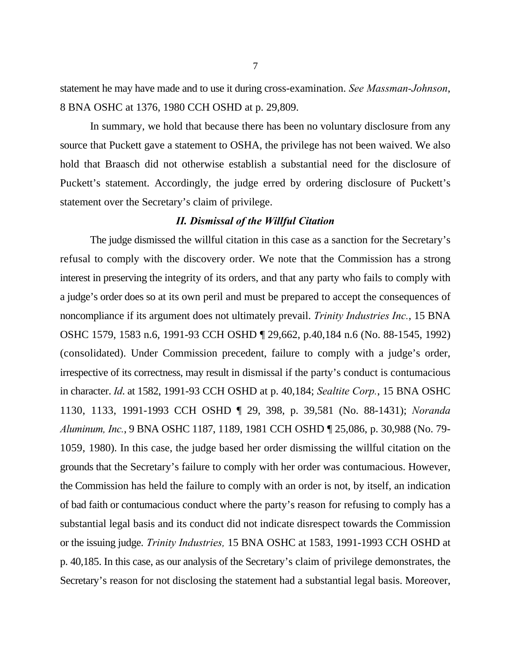statement he may have made and to use it during cross-examination. *See Massman-Johnson*, 8 BNA OSHC at 1376, 1980 CCH OSHD at p. 29,809.

In summary, we hold that because there has been no voluntary disclosure from any source that Puckett gave a statement to OSHA, the privilege has not been waived. We also hold that Braasch did not otherwise establish a substantial need for the disclosure of Puckett's statement. Accordingly, the judge erred by ordering disclosure of Puckett's statement over the Secretary's claim of privilege.

### *II. Dismissal of the Willful Citation*

The judge dismissed the willful citation in this case as a sanction for the Secretary's refusal to comply with the discovery order. We note that the Commission has a strong interest in preserving the integrity of its orders, and that any party who fails to comply with a judge's order does so at its own peril and must be prepared to accept the consequences of noncompliance if its argument does not ultimately prevail. *Trinity Industries Inc.*, 15 BNA OSHC 1579, 1583 n.6, 1991-93 CCH OSHD ¶ 29,662, p.40,184 n.6 (No. 88-1545, 1992) (consolidated). Under Commission precedent, failure to comply with a judge's order, irrespective of its correctness, may result in dismissal if the party's conduct is contumacious in character. *Id*. at 1582, 1991-93 CCH OSHD at p. 40,184; *Sealtite Corp.*, 15 BNA OSHC 1130, 1133, 1991-1993 CCH OSHD ¶ 29, 398, p. 39,581 (No. 88-1431); *Noranda Aluminum, Inc.*, 9 BNA OSHC 1187, 1189, 1981 CCH OSHD ¶ 25,086, p. 30,988 (No. 79- 1059, 1980). In this case, the judge based her order dismissing the willful citation on the grounds that the Secretary's failure to comply with her order was contumacious. However, the Commission has held the failure to comply with an order is not, by itself, an indication of bad faith or contumacious conduct where the party's reason for refusing to comply has a substantial legal basis and its conduct did not indicate disrespect towards the Commission or the issuing judge. *Trinity Industries,* 15 BNA OSHC at 1583, 1991-1993 CCH OSHD at p. 40,185. In this case, as our analysis of the Secretary's claim of privilege demonstrates, the Secretary's reason for not disclosing the statement had a substantial legal basis. Moreover,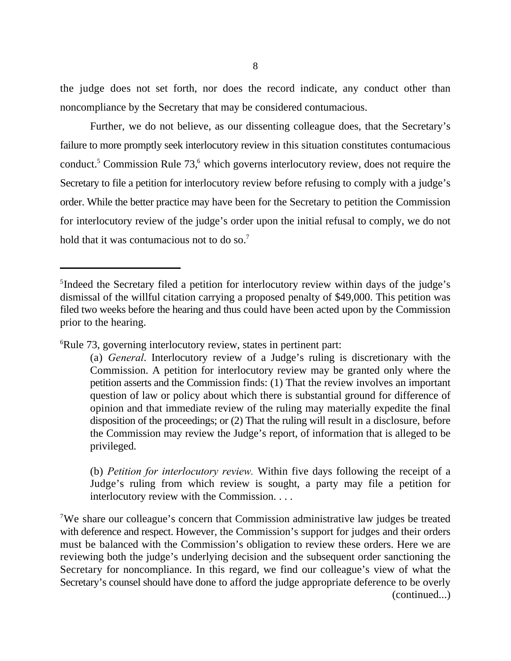the judge does not set forth, nor does the record indicate, any conduct other than noncompliance by the Secretary that may be considered contumacious.

Further, we do not believe, as our dissenting colleague does, that the Secretary's failure to more promptly seek interlocutory review in this situation constitutes contumacious conduct.<sup>5</sup> Commission Rule  $73$ , which governs interlocutory review, does not require the Secretary to file a petition for interlocutory review before refusing to comply with a judge's order. While the better practice may have been for the Secretary to petition the Commission for interlocutory review of the judge's order upon the initial refusal to comply, we do not hold that it was contumacious not to do so.<sup>7</sup>

 ${}^6$ Rule 73, governing interlocutory review, states in pertinent part:

(b) *Petition for interlocutory review.* Within five days following the receipt of a Judge's ruling from which review is sought, a party may file a petition for interlocutory review with the Commission. . . .

<sup>7</sup>We share our colleague's concern that Commission administrative law judges be treated with deference and respect. However, the Commission's support for judges and their orders must be balanced with the Commission's obligation to review these orders. Here we are reviewing both the judge's underlying decision and the subsequent order sanctioning the Secretary for noncompliance. In this regard, we find our colleague's view of what the Secretary's counsel should have done to afford the judge appropriate deference to be overly (continued...)

<sup>&</sup>lt;sup>5</sup>Indeed the Secretary filed a petition for interlocutory review within days of the judge's dismissal of the willful citation carrying a proposed penalty of \$49,000. This petition was filed two weeks before the hearing and thus could have been acted upon by the Commission prior to the hearing.

<sup>(</sup>a) *General*. Interlocutory review of a Judge's ruling is discretionary with the Commission. A petition for interlocutory review may be granted only where the petition asserts and the Commission finds: (1) That the review involves an important question of law or policy about which there is substantial ground for difference of opinion and that immediate review of the ruling may materially expedite the final disposition of the proceedings; or (2) That the ruling will result in a disclosure, before the Commission may review the Judge's report, of information that is alleged to be privileged.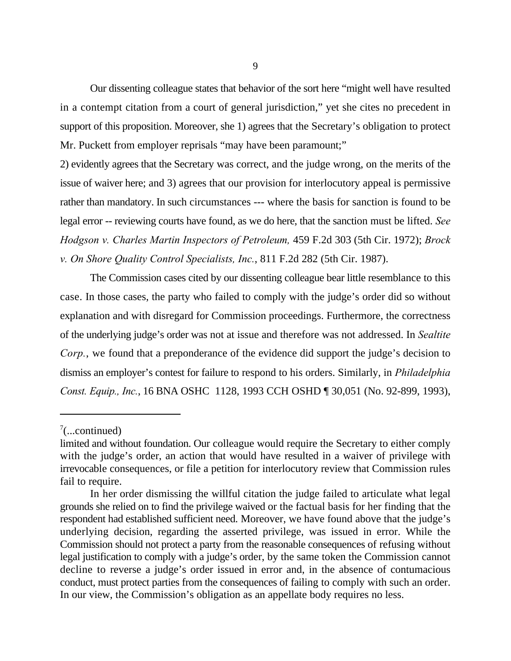Our dissenting colleague states that behavior of the sort here "might well have resulted in a contempt citation from a court of general jurisdiction," yet she cites no precedent in support of this proposition. Moreover, she 1) agrees that the Secretary's obligation to protect Mr. Puckett from employer reprisals "may have been paramount;"

2) evidently agrees that the Secretary was correct, and the judge wrong, on the merits of the issue of waiver here; and 3) agrees that our provision for interlocutory appeal is permissive rather than mandatory. In such circumstances --- where the basis for sanction is found to be legal error -- reviewing courts have found, as we do here, that the sanction must be lifted. *See Hodgson v. Charles Martin Inspectors of Petroleum,* 459 F.2d 303 (5th Cir. 1972); *Brock v. On Shore Quality Control Specialists, Inc.*, 811 F.2d 282 (5th Cir. 1987).

The Commission cases cited by our dissenting colleague bear little resemblance to this case. In those cases, the party who failed to comply with the judge's order did so without explanation and with disregard for Commission proceedings. Furthermore, the correctness of the underlying judge's order was not at issue and therefore was not addressed. In *Sealtite Corp.*, we found that a preponderance of the evidence did support the judge's decision to dismiss an employer's contest for failure to respond to his orders. Similarly, in *Philadelphia Const. Equip., Inc.*, 16 BNA OSHC 1128, 1993 CCH OSHD ¶ 30,051 (No. 92-899, 1993),

 $\frac{7}{2}$ ...continued)

limited and without foundation. Our colleague would require the Secretary to either comply with the judge's order, an action that would have resulted in a waiver of privilege with irrevocable consequences, or file a petition for interlocutory review that Commission rules fail to require.

In her order dismissing the willful citation the judge failed to articulate what legal grounds she relied on to find the privilege waived or the factual basis for her finding that the respondent had established sufficient need. Moreover, we have found above that the judge's underlying decision, regarding the asserted privilege, was issued in error. While the Commission should not protect a party from the reasonable consequences of refusing without legal justification to comply with a judge's order, by the same token the Commission cannot decline to reverse a judge's order issued in error and, in the absence of contumacious conduct, must protect parties from the consequences of failing to comply with such an order. In our view, the Commission's obligation as an appellate body requires no less.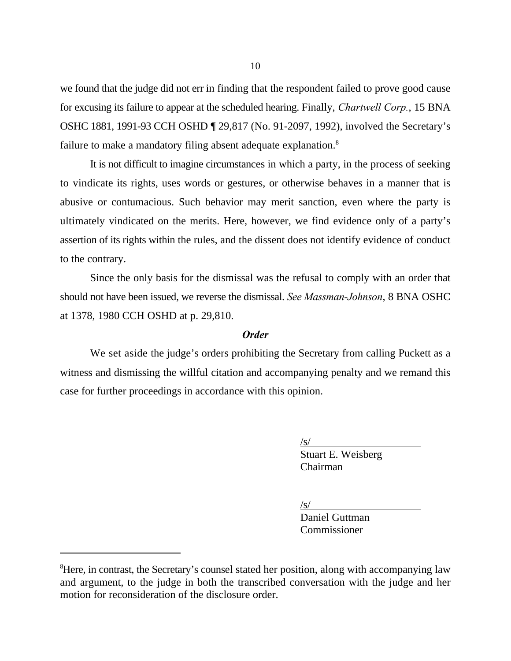we found that the judge did not err in finding that the respondent failed to prove good cause for excusing its failure to appear at the scheduled hearing. Finally, *Chartwell Corp.*, 15 BNA OSHC 1881, 1991-93 CCH OSHD ¶ 29,817 (No. 91-2097, 1992), involved the Secretary's failure to make a mandatory filing absent adequate explanation.<sup>8</sup>

It is not difficult to imagine circumstances in which a party, in the process of seeking to vindicate its rights, uses words or gestures, or otherwise behaves in a manner that is abusive or contumacious. Such behavior may merit sanction, even where the party is ultimately vindicated on the merits. Here, however, we find evidence only of a party's assertion of its rights within the rules, and the dissent does not identify evidence of conduct to the contrary.

Since the only basis for the dismissal was the refusal to comply with an order that should not have been issued, we reverse the dismissal. *See Massman-Johnson*, 8 BNA OSHC at 1378, 1980 CCH OSHD at p. 29,810.

## *Order*

We set aside the judge's orders prohibiting the Secretary from calling Puckett as a witness and dismissing the willful citation and accompanying penalty and we remand this case for further proceedings in accordance with this opinion.

 $\sqrt{s/}$ 

Stuart E. Weisberg Chairman

 $/s/$ 

Daniel Guttman Commissioner

<sup>&</sup>lt;sup>8</sup>Here, in contrast, the Secretary's counsel stated her position, along with accompanying law and argument, to the judge in both the transcribed conversation with the judge and her motion for reconsideration of the disclosure order.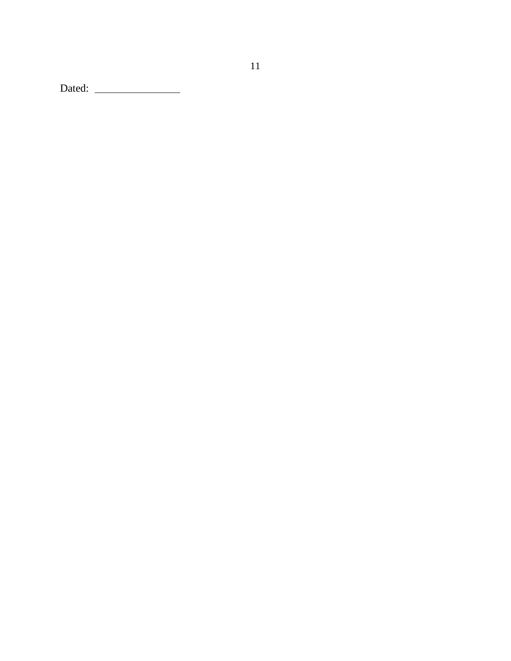Dated: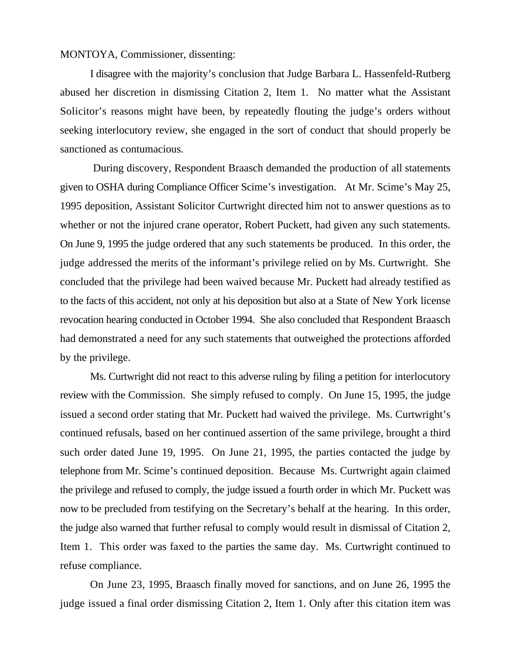MONTOYA, Commissioner, dissenting:

I disagree with the majority's conclusion that Judge Barbara L. Hassenfeld-Rutberg abused her discretion in dismissing Citation 2, Item 1. No matter what the Assistant Solicitor's reasons might have been, by repeatedly flouting the judge's orders without seeking interlocutory review, she engaged in the sort of conduct that should properly be sanctioned as contumacious.

During discovery, Respondent Braasch demanded the production of all statements given to OSHA during Compliance Officer Scime's investigation. At Mr. Scime's May 25, 1995 deposition, Assistant Solicitor Curtwright directed him not to answer questions as to whether or not the injured crane operator, Robert Puckett, had given any such statements. On June 9, 1995 the judge ordered that any such statements be produced. In this order, the judge addressed the merits of the informant's privilege relied on by Ms. Curtwright. She concluded that the privilege had been waived because Mr. Puckett had already testified as to the facts of this accident, not only at his deposition but also at a State of New York license revocation hearing conducted in October 1994. She also concluded that Respondent Braasch had demonstrated a need for any such statements that outweighed the protections afforded by the privilege.

Ms. Curtwright did not react to this adverse ruling by filing a petition for interlocutory review with the Commission. She simply refused to comply. On June 15, 1995, the judge issued a second order stating that Mr. Puckett had waived the privilege. Ms. Curtwright's continued refusals, based on her continued assertion of the same privilege, brought a third such order dated June 19, 1995. On June 21, 1995, the parties contacted the judge by telephone from Mr. Scime's continued deposition. Because Ms. Curtwright again claimed the privilege and refused to comply, the judge issued a fourth order in which Mr. Puckett was now to be precluded from testifying on the Secretary's behalf at the hearing. In this order, the judge also warned that further refusal to comply would result in dismissal of Citation 2, Item 1. This order was faxed to the parties the same day. Ms. Curtwright continued to refuse compliance.

On June 23, 1995, Braasch finally moved for sanctions, and on June 26, 1995 the judge issued a final order dismissing Citation 2, Item 1. Only after this citation item was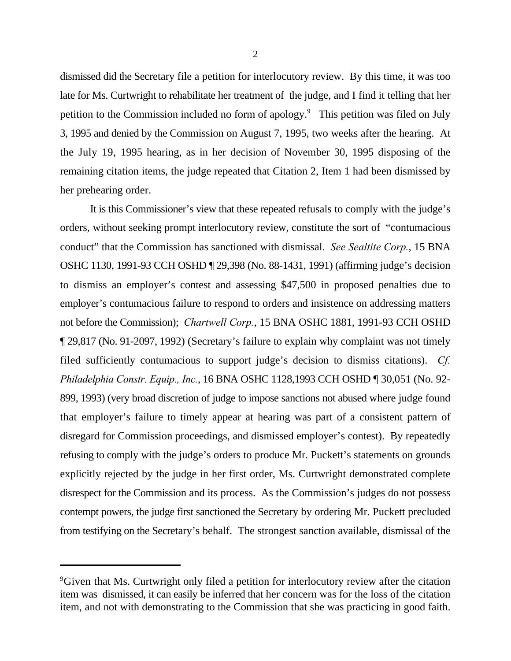dismissed did the Secretary file a petition for interlocutory review. By this time, it was too late for Ms. Curtwright to rehabilitate her treatment of the judge, and I find it telling that her petition to the Commission included no form of apology.<sup>9</sup> This petition was filed on July 3, 1995 and denied by the Commission on August 7, 1995, two weeks after the hearing. At the July 19, 1995 hearing, as in her decision of November 30, 1995 disposing of the remaining citation items, the judge repeated that Citation 2, Item 1 had been dismissed by her prehearing order.

It is this Commissioner's view that these repeated refusals to comply with the judge's orders, without seeking prompt interlocutory review, constitute the sort of "contumacious conduct" that the Commission has sanctioned with dismissal. *See Sealtite Corp.*, 15 BNA OSHC 1130, 1991-93 CCH OSHD ¶ 29,398 (No. 88-1431, 1991) (affirming judge's decision to dismiss an employer's contest and assessing \$47,500 in proposed penalties due to employer's contumacious failure to respond to orders and insistence on addressing matters not before the Commission); *Chartwell Corp.*, 15 BNA OSHC 1881, 1991-93 CCH OSHD ¶ 29,817 (No. 91-2097, 1992) (Secretary's failure to explain why complaint was not timely filed sufficiently contumacious to support judge's decision to dismiss citations). *Cf. Philadelphia Constr. Equip., Inc.*, 16 BNA OSHC 1128,1993 CCH OSHD ¶ 30,051 (No. 92- 899, 1993) (very broad discretion of judge to impose sanctions not abused where judge found that employer's failure to timely appear at hearing was part of a consistent pattern of disregard for Commission proceedings, and dismissed employer's contest). By repeatedly refusing to comply with the judge's orders to produce Mr. Puckett's statements on grounds explicitly rejected by the judge in her first order, Ms. Curtwright demonstrated complete disrespect for the Commission and its process. As the Commission's judges do not possess contempt powers, the judge first sanctioned the Secretary by ordering Mr. Puckett precluded from testifying on the Secretary's behalf. The strongest sanction available, dismissal of the

<sup>&</sup>lt;sup>9</sup>Given that Ms. Curtwright only filed a petition for interlocutory review after the citation item was dismissed, it can easily be inferred that her concern was for the loss of the citation item, and not with demonstrating to the Commission that she was practicing in good faith.